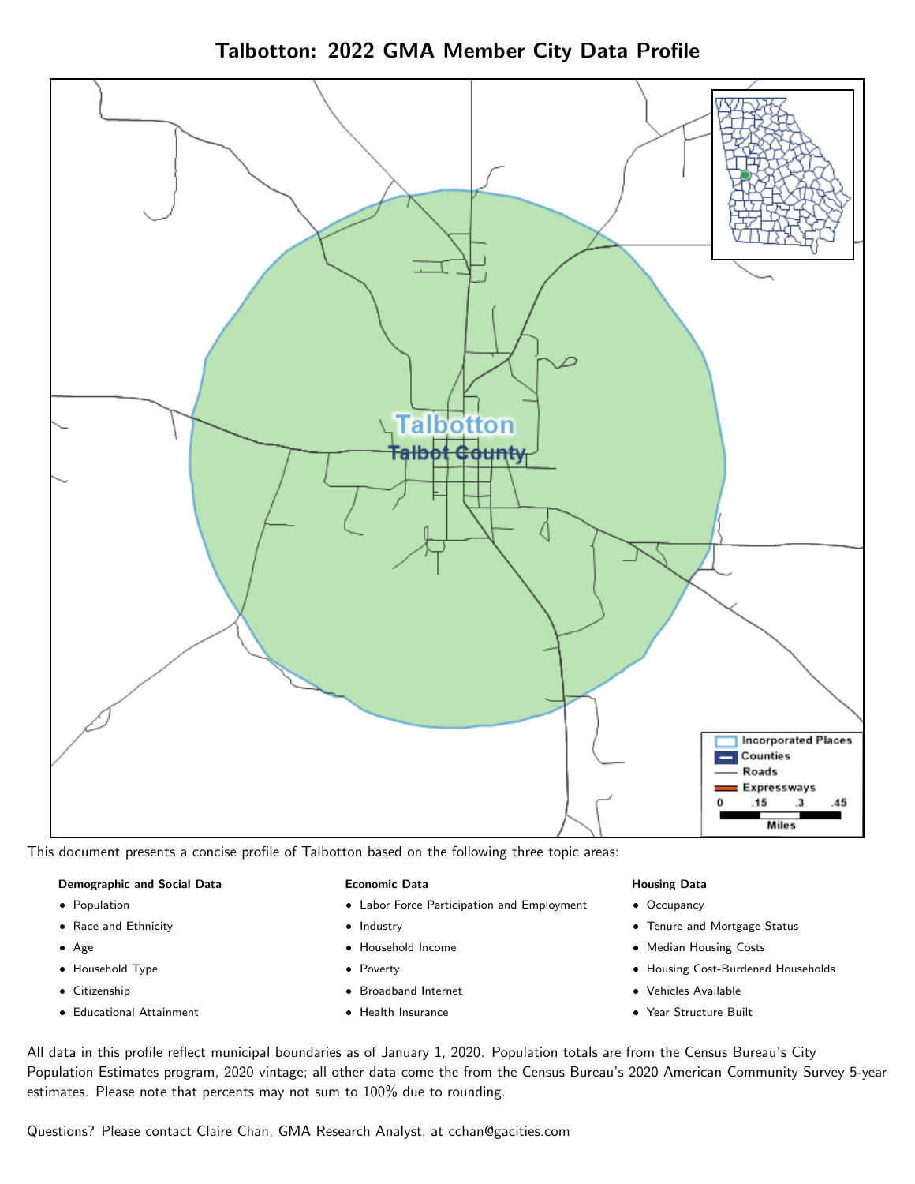



This document presents a concise profile of Talbotton based on the following three topic areas:

#### Demographic and Social Data

- **•** Population
- Race and Ethnicity
- Age
- Household Type
- **Citizenship**
- Educational Attainment

#### Economic Data

- Labor Force Participation and Employment
- Industry
- Household Income
- Poverty
- Broadband Internet
- Health Insurance

#### Housing Data

- Occupancy
- Tenure and Mortgage Status
- Median Housing Costs
- Housing Cost-Burdened Households
- Vehicles Available
- Year Structure Built

All data in this profile reflect municipal boundaries as of January 1, 2020. Population totals are from the Census Bureau's City Population Estimates program, 2020 vintage; all other data come the from the Census Bureau's 2020 American Community Survey 5-year estimates. Please note that percents may not sum to 100% due to rounding.

Questions? Please contact Claire Chan, GMA Research Analyst, at [cchan@gacities.com.](mailto:cchan@gacities.com)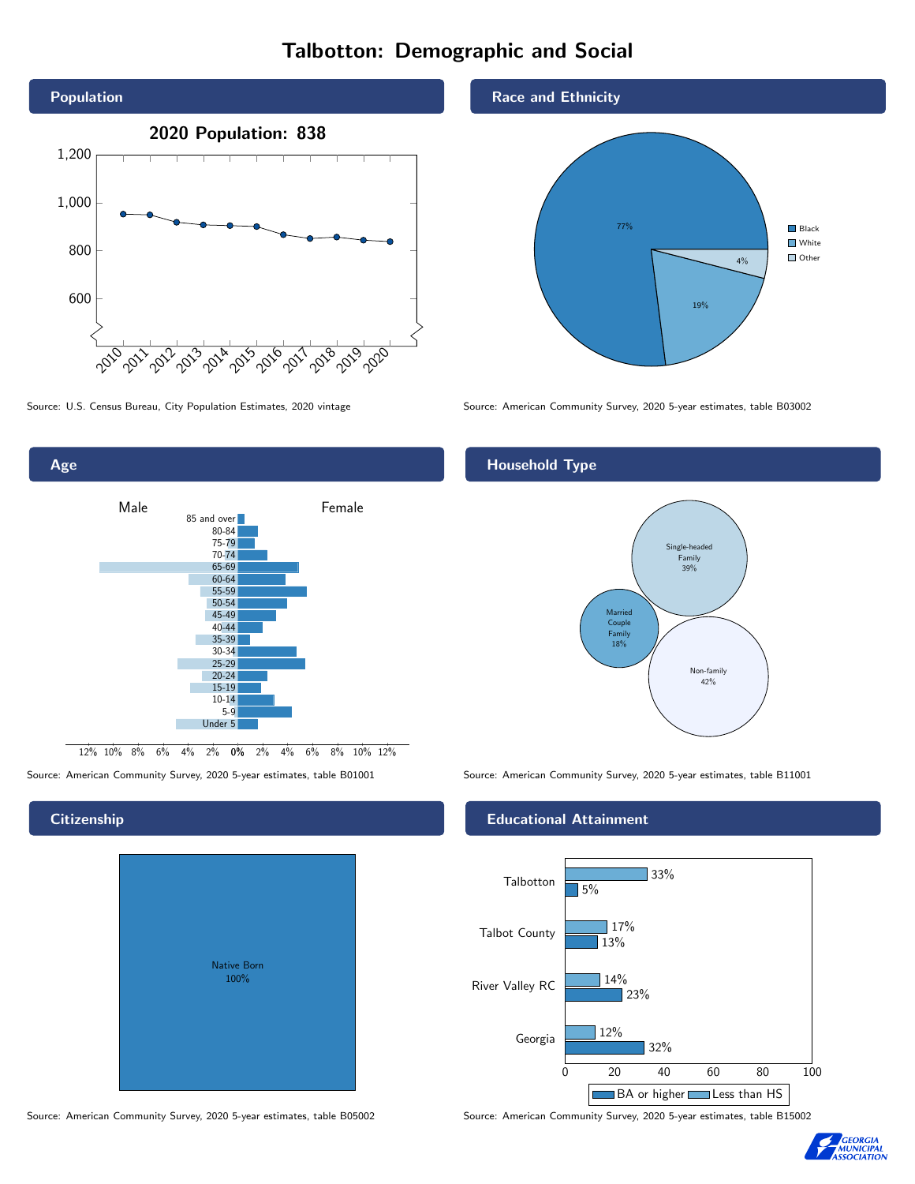# Talbotton: Demographic and Social



0% 2% 4% 6% 8% 10% 12% 12% 10% 8% 6% 4% 2% Male **Female** 85 and over 80-84 75-79 70-74 65-69 60-64 55-59 50-54 45-49 40-44 35-39 30-34 25-29 20-24 15-19 10-14 5-9 Under 5

# **Citizenship**

Age

| <b>Native Born</b><br>100% |  |
|----------------------------|--|

Source: American Community Survey, 2020 5-year estimates, table B05002 Source: American Community Survey, 2020 5-year estimates, table B15002





Source: U.S. Census Bureau, City Population Estimates, 2020 vintage Source: American Community Survey, 2020 5-year estimates, table B03002

# Household Type



Source: American Community Survey, 2020 5-year estimates, table B01001 Source: American Community Survey, 2020 5-year estimates, table B11001

### Educational Attainment



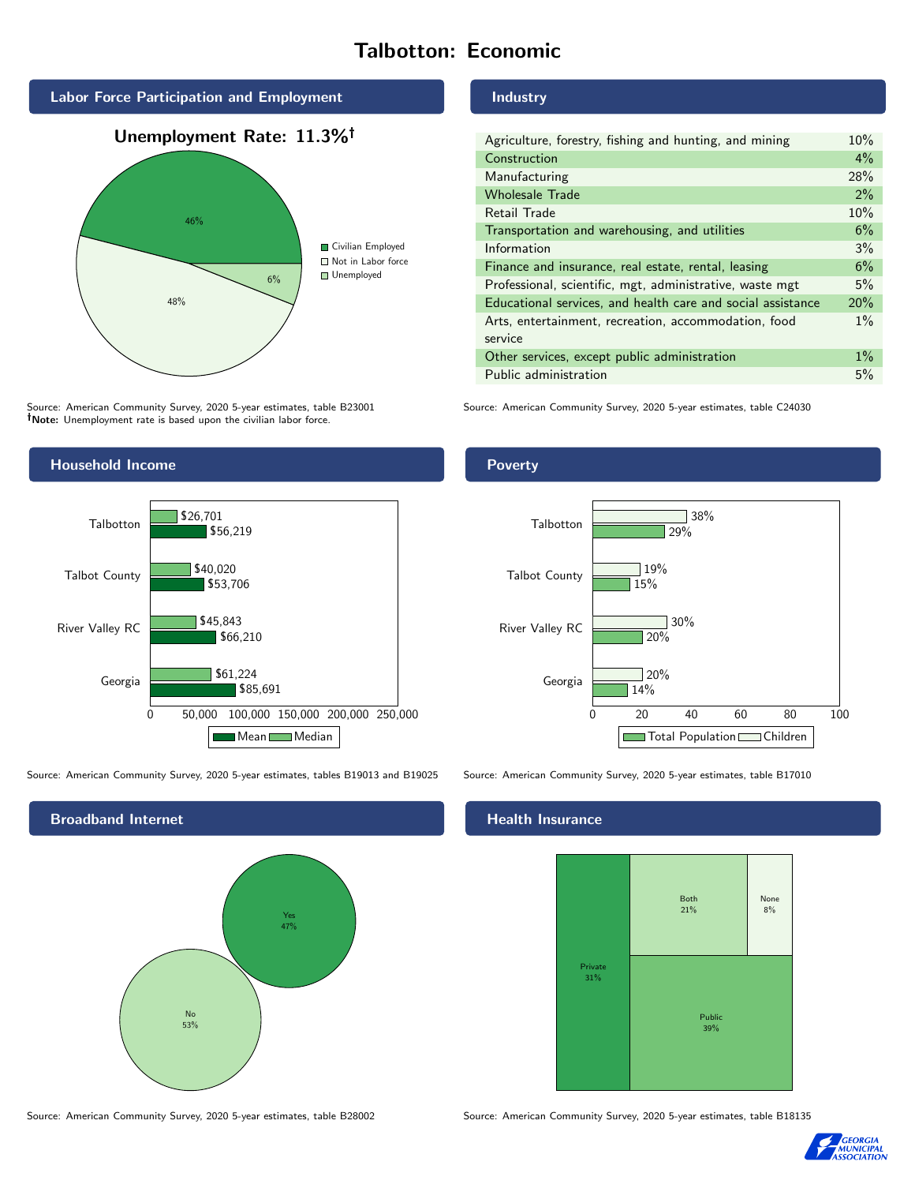# Talbotton: Economic



Source: American Community Survey, 2020 5-year estimates, table B23001 Note: Unemployment rate is based upon the civilian labor force.

# Industry

| Agriculture, forestry, fishing and hunting, and mining      |     |
|-------------------------------------------------------------|-----|
| Construction                                                |     |
| Manufacturing                                               | 28% |
| <b>Wholesale Trade</b>                                      | 2%  |
| Retail Trade                                                | 10% |
| Transportation and warehousing, and utilities               |     |
| Information                                                 | 3%  |
| Finance and insurance, real estate, rental, leasing         |     |
| Professional, scientific, mgt, administrative, waste mgt    |     |
| Educational services, and health care and social assistance |     |
| Arts, entertainment, recreation, accommodation, food        |     |
| service                                                     |     |
| Other services, except public administration                |     |
| Public administration                                       |     |

Source: American Community Survey, 2020 5-year estimates, table C24030



Source: American Community Survey, 2020 5-year estimates, tables B19013 and B19025 Source: American Community Survey, 2020 5-year estimates, table B17010

No 53% Yes 47%

# **Health Insurance**

![](_page_2_Figure_11.jpeg)

Source: American Community Survey, 2020 5-year estimates, table B28002 Source: American Community Survey, 2020 5-year estimates, table B18135

![](_page_2_Picture_14.jpeg)

#### Poverty

### 0 20 40 60 80 100 Georgia River Valley RC Talbot County Talbotton 14%  $\overline{120\%}$ 15% 29%  $720%$ 30%  $19%$ 38%

Total Population Children

Broadband Internet